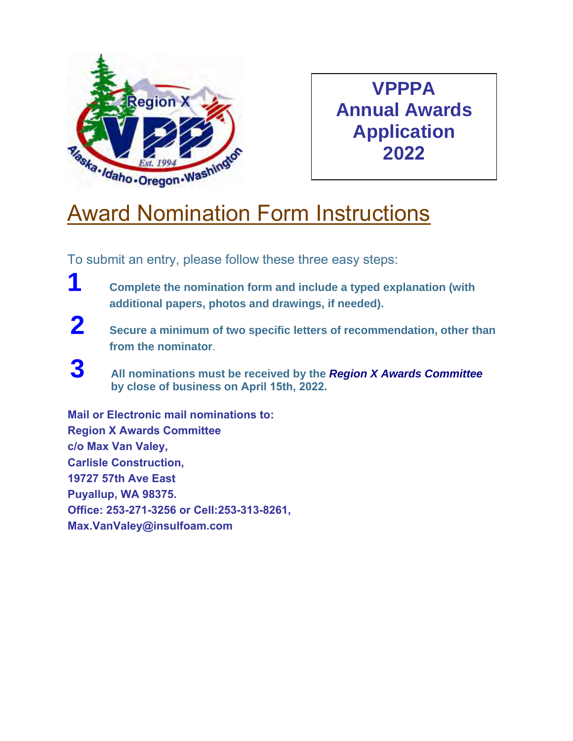

**VPPPA Annual Awards Application 2022**

## Award Nomination Form Instructions

To submit an entry, please follow these three easy steps:

- **1 Complete the nomination form and include a typed explanation (with additional papers, photos and drawings, if needed).**
- **2 Secure a minimum of two specific letters of recommendation, other than from the nominator**.
- **3 All nominations must be received by the** *Region X Awards Committee*  **by close of business on April 15th, 2022.**

**Mail or Electronic mail nominations to: Region X Awards Committee c/o Max Van Valey, Carlisle Construction, 19727 57th Ave East Puyallup, WA 98375. Office: 253-271-3256 or Cell:253-313-8261, Max.VanValey@insulfoam.com**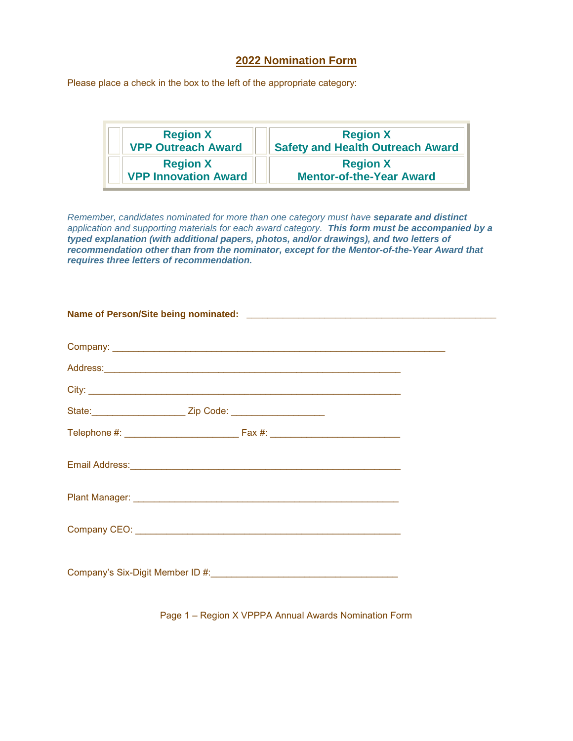## **2022 Nomination Form**

Please place a check in the box to the left of the appropriate category:

| <b>Region X</b>             | <b>Region X</b>                         |
|-----------------------------|-----------------------------------------|
| <b>VPP Outreach Award</b>   | <b>Safety and Health Outreach Award</b> |
| <b>Region X</b>             | <b>Region X</b>                         |
| <b>VPP Innovation Award</b> | <b>Mentor-of-the-Year Award</b>         |

*Remember, candidates nominated for more than one category must have separate and distinct application and supporting materials for each award category. This form must be accompanied by a typed explanation (with additional papers, photos, and/or drawings), and two letters of recommendation other than from the nominator, except for the Mentor-of-the-Year Award that requires three letters of recommendation.* 

| State: ___________________________________ Zip Code: ___________________________ |  |  |
|----------------------------------------------------------------------------------|--|--|
|                                                                                  |  |  |
| Email Address: <u>Communication of the Communication</u>                         |  |  |
|                                                                                  |  |  |
|                                                                                  |  |  |
| Company's Six-Digit Member ID #: \\company's Six-Digit Member ID #:              |  |  |

Page 1 – Region X VPPPA Annual Awards Nomination Form